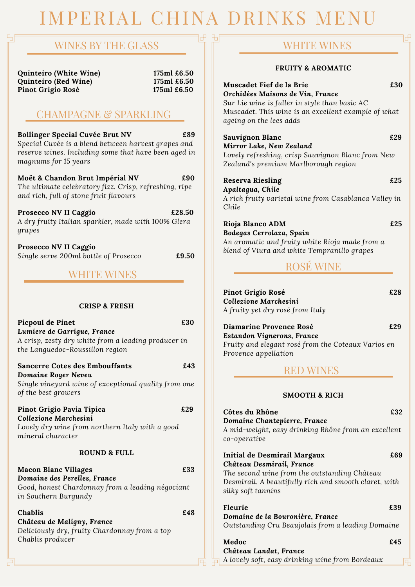## IMPERIAL CHINA DRINKS MENU

間

### WINES BY THE GLASS

**Quinteiro (White Wine) 175ml £6.50 Quinteiro (Red Wine) 175ml £6.50 Pinot Grigio Rosé 175ml £6.50**

### CHAMPAGNE & SPARKLING

**Bollinger Special Cuvée Brut NV £89** *Special Cuvée is a blend between harvest grapes and reserve wines. Including some that have been aged in magnums for 15 years*

**Moët & Chandon Brut Impérial NV £90** *The ultimate celebratory fizz. Crisp, refreshing, ripe and rich, full of stone fruit flavours*

**Prosecco NV II Caggio £28.50** *A dry fruity Italian sparkler, made with 100% Glera grapes*

**Prosecco NV II Caggio** *Single serve 200ml bottle of Prosecco* **£9.50**

### WHITE WINES

### **CRISP & FRESH**

**Picpoul de Pinet £30** *Lumiere de Garrigue, France A crisp, zesty dry white from a leading producer in the Languedoc-Roussillon region*

**Sancerre Cotes des Embouffants £43** *Domaine Roger Neveu Single vineyard wine of exceptional quality from one of the best growers*

### **Pinot Grigio Pavia Tipica £29**

*Collezione Marchesini Lovely dry wine from northern Italy with a good mineral character*

### **ROUND & FULL**

**Macon Blanc Villages £33** *Domaine des Perelles, France Good, honest Chardonnay from a leading négociant in Southern Burgundy*

**Chablis £48** *Château de Maligny, France Deliciously dry, fruity Chardonnay from a top Chablis producer*

### WHITE WINES

### **FRUITY & AROMATIC**

| Muscadet Fief de la Brie<br>Orchidées Maisons de Vin, France<br>Sur Lie wine is fuller in style than basic AC<br>Muscadet. This wine is an excellent example of what                     | £30 |
|------------------------------------------------------------------------------------------------------------------------------------------------------------------------------------------|-----|
| ageing on the lees adds<br>Sauvignon Blanc<br>Mirror Lake, New Zealand<br>Lovely refreshing, crisp Sauvignon Blanc from New<br>Zealand's premium Marlborough region                      | £29 |
| <b>Reserva Riesling</b><br>Apaltagua, Chile<br>A rich fruity varietal wine from Casablanca Valley in<br>Chile                                                                            | £25 |
| Rioja Blanco ADM<br>Bodegas Cerrolaza, Spain<br>An aromatic and fruity white Rioja made from a<br>blend of Viura and white Tempranillo grapes<br><b>ROSÉ WINE</b>                        | £25 |
| Pinot Grigio Rosé<br>Collezione Marchesini<br>A fruity yet dry rosé from Italy                                                                                                           | £28 |
| Diamarine Provence Rosé<br>Estandon Vignerons, France<br>Fruity and elegant rosé from the Coteaux Varios en<br>Provence appellation                                                      | £29 |
| <b>RED WINES</b>                                                                                                                                                                         |     |
| <b>SMOOTH &amp; RICH</b>                                                                                                                                                                 |     |
| Côtes du Rhône<br>Domaine Chantepierre, France<br>A mid-weight, easy drinking Rhône from an excellent<br>co-operative                                                                    | £32 |
| Initial de Desmirail Margaux<br>Château Desmirail, France<br>The second wine from the outstanding Château<br>Desmirail. A beautifully rich and smooth claret, with<br>silky soft tannins | £69 |
| <b>Fleurie</b><br>Domaine de la Bouronière, France                                                                                                                                       | £39 |

*Outstanding Cru Beaujolais from a leading Domaine*

**Medoc £45** *Château Landat, France A lovely soft, easy drinking wine from Bordeaux*